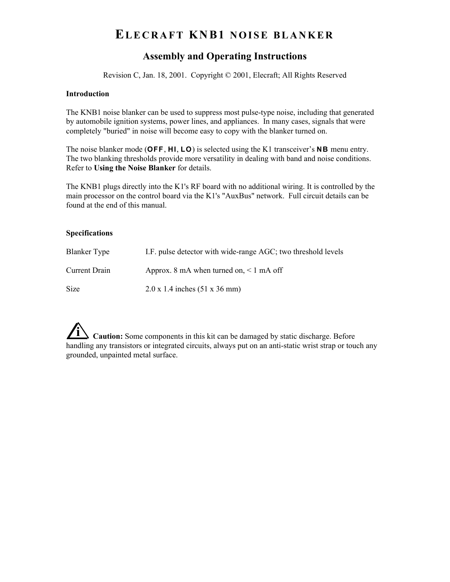# **ELECRAFT KNB1 NOISE BLANKER**

### **Assembly and Operating Instructions**

Revision C, Jan. 18, 2001. Copyright © 2001, Elecraft; All Rights Reserved

#### **Introduction**

The KNB1 noise blanker can be used to suppress most pulse-type noise, including that generated by automobile ignition systems, power lines, and appliances. In many cases, signals that were completely "buried" in noise will become easy to copy with the blanker turned on.

The noise blanker mode (OFF, HI, LO) is selected using the K1 transceiver's NB menu entry. The two blanking thresholds provide more versatility in dealing with band and noise conditions. Refer to **Using the Noise Blanker** for details.

The KNB1 plugs directly into the K1's RF board with no additional wiring. It is controlled by the main processor on the control board via the K1's "AuxBus" network. Full circuit details can be found at the end of this manual.

#### **Specifications**

| Blanker Type  | I.F. pulse detector with wide-range AGC; two threshold levels |  |
|---------------|---------------------------------------------------------------|--|
| Current Drain | Approx. 8 mA when turned on, $\leq 1$ mA off                  |  |
| Size          | $2.0 \times 1.4$ inches $(51 \times 36$ mm)                   |  |

**i Caution:** Some components in this kit can be damaged by static discharge. Before handling any transistors or integrated circuits, always put on an anti-static wrist strap or touch any grounded, unpainted metal surface.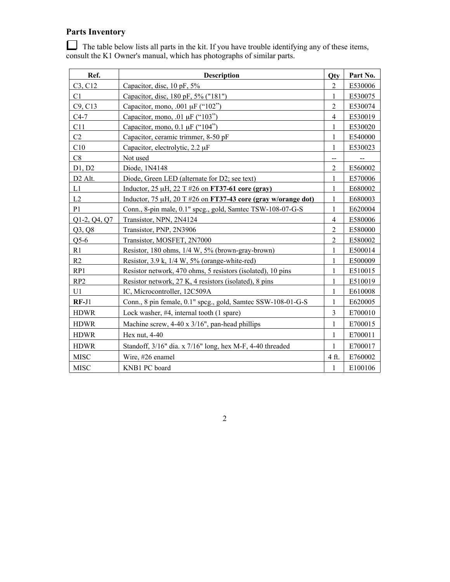# **Parts Inventory**

| Ref.                | <b>Description</b>                                                        | Otv            | Part No. |
|---------------------|---------------------------------------------------------------------------|----------------|----------|
| C3, C12             | Capacitor, disc, 10 pF, 5%                                                | $\overline{2}$ | E530006  |
| C1                  | Capacitor, disc, 180 pF, 5% ("181")                                       | 1              | E530075  |
| C9, C13             | Capacitor, mono, .001 µF ("102")                                          | $\overline{2}$ | E530074  |
| $C4-7$              | Capacitor, mono, .01 $\mu$ F ("103")                                      | $\overline{4}$ | E530019  |
| C11                 | Capacitor, mono, $0.1 \mu F$ (" $104$ ")                                  | $\mathbf{1}$   | E530020  |
| C <sub>2</sub>      | Capacitor, ceramic trimmer, 8-50 pF                                       | 1              | E540000  |
| C10                 | Capacitor, electrolytic, 2.2 µF                                           | $\mathbf{1}$   | E530023  |
| C8                  | Not used                                                                  | --             |          |
| D1, D2              | Diode, 1N4148                                                             | $\overline{2}$ | E560002  |
| D <sub>2</sub> Alt. | Diode, Green LED (alternate for D2; see text)                             | 1              | E570006  |
| L1                  | Inductor, $25 \mu H$ , $22 \text{ T}$ #26 on <b>FT37-61 core (gray)</b>   | 1              | E680002  |
| L2                  | Inductor, 75 $\mu$ H, 20 T #26 on <b>FT37-43 core (gray w/orange dot)</b> | 1              | E680003  |
| P <sub>1</sub>      | Conn., 8-pin male, 0.1" spcg., gold, Samtec TSW-108-07-G-S                | $\mathbf{1}$   | E620004  |
| Q1-2, Q4, Q7        | Transistor, NPN, 2N4124                                                   | $\overline{4}$ | E580006  |
| Q3, Q8              | Transistor, PNP, 2N3906                                                   | $\overline{2}$ | E580000  |
| $Q5-6$              | Transistor, MOSFET, 2N7000                                                | $\overline{2}$ | E580002  |
| R1                  | Resistor, 180 ohms, 1/4 W, 5% (brown-gray-brown)                          | 1              | E500014  |
| R2                  | Resistor, $3.9$ k, $1/4$ W, $5%$ (orange-white-red)                       | 1              | E500009  |
| RP1                 | Resistor network, 470 ohms, 5 resistors (isolated), 10 pins               | $\mathbf{1}$   | E510015  |
| RP <sub>2</sub>     | Resistor network, 27 K, 4 resistors (isolated), 8 pins                    | 1              | E510019  |
| U1                  | IC, Microcontroller, 12C509A                                              | 1              | E610008  |
| $RF-J1$             | Conn., 8 pin female, 0.1" spcg., gold, Samtec SSW-108-01-G-S              | 1              | E620005  |
| <b>HDWR</b>         | Lock washer, #4, internal tooth (1 spare)                                 | $\overline{3}$ | E700010  |
| <b>HDWR</b>         | Machine screw, 4-40 x 3/16", pan-head phillips                            | 1              | E700015  |
| <b>HDWR</b>         | Hex nut, $4-40$                                                           | 1              | E700011  |
| <b>HDWR</b>         | Standoff, 3/16" dia. x 7/16" long, hex M-F, 4-40 threaded                 | 1              | E700017  |
| <b>MISC</b>         | Wire, #26 enamel                                                          | 4 ft.          | E760002  |
| <b>MISC</b>         | KNB1 PC board                                                             | 1              | E100106  |

The table below lists all parts in the kit. If you have trouble identifying any of these items, consult the K1 Owner's manual, which has photographs of similar parts.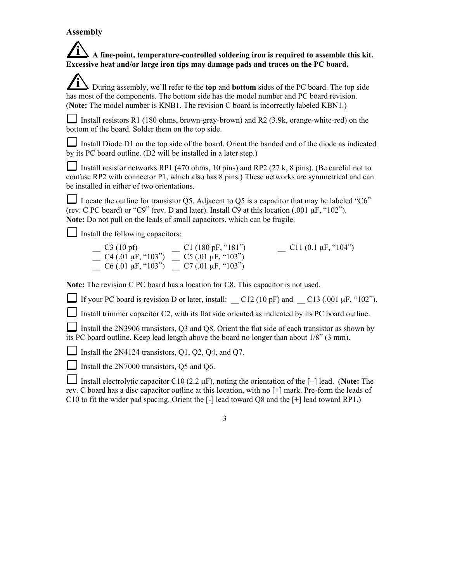### **Assembly**

## **i A fine-point, temperature-controlled soldering iron is required to assemble this kit. Excessive heat and/or large iron tips may damage pads and traces on the PC board.**

**i** During assembly, we'll refer to the **top** and **bottom** sides of the PC board. The top side has most of the components. The bottom side has the model number and PC board revision. (**Note:** The model number is KNB1. The revision C board is incorrectly labeled KBN1.)

Install resistors R1 (180 ohms, brown-gray-brown) and R2 (3.9k, orange-white-red) on the bottom of the board. Solder them on the top side.

Install Diode D1 on the top side of the board. Orient the banded end of the diode as indicated by its PC board outline. (D2 will be installed in a later step.)

Install resistor networks RP1 (470 ohms, 10 pins) and RP2 (27 k, 8 pins). (Be careful not to confuse RP2 with connector P1, which also has 8 pins.) These networks are symmetrical and can be installed in either of two orientations.

Locate the outline for transistor Q5. Adjacent to Q5 is a capacitor that may be labeled " $C6$ " (rev. C PC board) or "C9" (rev. D and later). Install C9 at this location  $(.001 \,\mu\text{F},$  "102"). **Note:** Do not pull on the leads of small capacitors, which can be fragile.

 $\Box$  Install the following capacitors:

 $\qquad \qquad \qquad _1$  C3 (10 pf)  $\qquad \qquad \qquad _2$  C1 (180 pF, "181")  $\qquad \qquad \qquad _1$  C11 (0.1 µF, "104")  $\frac{1}{2}$  C4 (.01 µF, "103")  $\frac{1}{2}$  C5 (.01 µF, "103")  $\frac{1}{2}$  C6 (.01 µF, "103")  $\frac{1}{2}$  C7 (.01 µF, "103")

**Note:** The revision C PC board has a location for C8. This capacitor is not used.

If your PC board is revision D or later, install:  $C12 (10 pF)$  and  $C13 (0.01 \mu F, "102").$ 

Install trimmer capacitor C2, with its flat side oriented as indicated by its PC board outline.

Install the 2N3906 transistors, Q3 and Q8. Orient the flat side of each transistor as shown by its PC board outline. Keep lead length above the board no longer than about 1/8" (3 mm).

Install the 2N4124 transistors,  $Q1$ ,  $Q2$ ,  $Q4$ , and  $Q7$ .

Install the 2N7000 transistors, Q5 and Q6.

Install electrolytic capacitor C10 (2.2 µF), noting the orientation of the [+] lead. (**Note:** The rev. C board has a disc capacitor outline at this location, with no [+] mark. Pre-form the leads of C10 to fit the wider pad spacing. Orient the [-] lead toward Q8 and the [+] lead toward RP1.)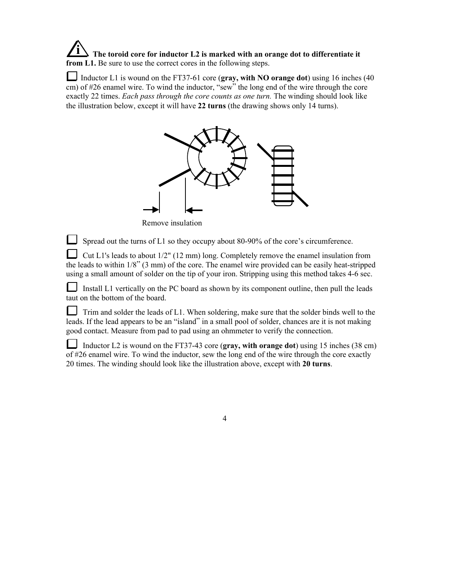**i The toroid core for inductor L2 is marked with an orange dot to differentiate it from L1.** Be sure to use the correct cores in the following steps.

Inductor L1 is wound on the FT37-61 core (gray, with NO orange dot) using 16 inches (40 cm) of #26 enamel wire. To wind the inductor, "sew" the long end of the wire through the core exactly 22 times. *Each pass through the core counts as one turn.* The winding should look like the illustration below, except it will have **22 turns** (the drawing shows only 14 turns).



Remove insulation

Spread out the turns of L1 so they occupy about 80-90% of the core's circumference.

Cut L1's leads to about  $1/2$ " (12 mm) long. Completely remove the enamel insulation from the leads to within 1/8" (3 mm) of the core. The enamel wire provided can be easily heat-stripped using a small amount of solder on the tip of your iron. Stripping using this method takes 4-6 sec.

 Install L1 vertically on the PC board as shown by its component outline, then pull the leads taut on the bottom of the board.

 $\Box$  Trim and solder the leads of L1. When soldering, make sure that the solder binds well to the leads. If the lead appears to be an "island" in a small pool of solder, chances are it is not making good contact. Measure from pad to pad using an ohmmeter to verify the connection.

 Inductor L2 is wound on the FT37-43 core (**gray, with orange dot**) using 15 inches (38 cm) of #26 enamel wire. To wind the inductor, sew the long end of the wire through the core exactly 20 times. The winding should look like the illustration above, except with **20 turns**.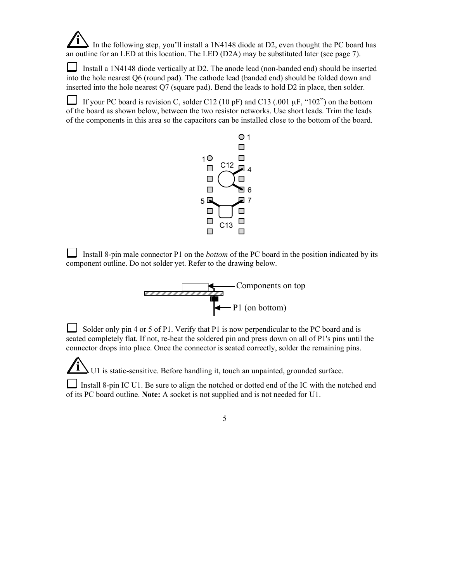In the following step, you'll install a 1N4148 diode at D2, even thought the PC board has an outline for an LED at this location. The LED (D2A) may be substituted later (see page 7).

Install a 1N4148 diode vertically at D2. The anode lead (non-banded end) should be inserted into the hole nearest Q6 (round pad). The cathode lead (banded end) should be folded down and inserted into the hole nearest Q7 (square pad). Bend the leads to hold D2 in place, then solder.

If your PC board is revision C, solder C12 (10 pF) and C13 (.001  $\mu$ F, "102") on the bottom of the board as shown below, between the two resistor networks. Use short leads. Trim the leads of the components in this area so the capacitors can be installed close to the bottom of the board.



 Install 8-pin male connector P1 on the *bottom* of the PC board in the position indicated by its component outline. Do not solder yet. Refer to the drawing below.



 Solder only pin 4 or 5 of P1. Verify that P1 is now perpendicular to the PC board and is seated completely flat. If not, re-heat the soldered pin and press down on all of P1's pins until the connector drops into place. Once the connector is seated correctly, solder the remaining pins.

**i** U1 is static-sensitive. Before handling it, touch an unpainted, grounded surface.

Install 8-pin IC U1. Be sure to align the notched or dotted end of the IC with the notched end of its PC board outline. **Note:** A socket is not supplied and is not needed for U1.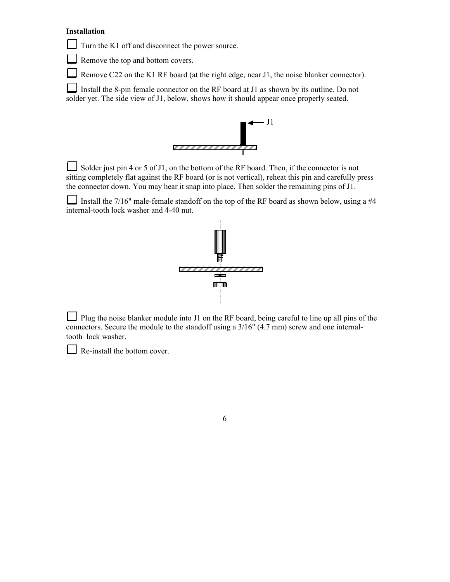#### **Installation**

Turn the K1 off and disconnect the power source.

Remove the top and bottom covers.

Remove C22 on the K1 RF board (at the right edge, near J1, the noise blanker connector).

Install the 8-pin female connector on the RF board at J1 as shown by its outline. Do not solder yet. The side view of J1, below, shows how it should appear once properly seated.



Solder just pin 4 or 5 of J1, on the bottom of the RF board. Then, if the connector is not sitting completely flat against the RF board (or is not vertical), reheat this pin and carefully press the connector down. You may hear it snap into place. Then solder the remaining pins of J1.

Install the  $7/16$ " male-female standoff on the top of the RF board as shown below, using a #4 internal-tooth lock washer and 4-40 nut.



Plug the noise blanker module into J1 on the RF board, being careful to line up all pins of the connectors. Secure the module to the standoff using a 3/16" (4.7 mm) screw and one internaltooth lock washer.

Re-install the bottom cover.

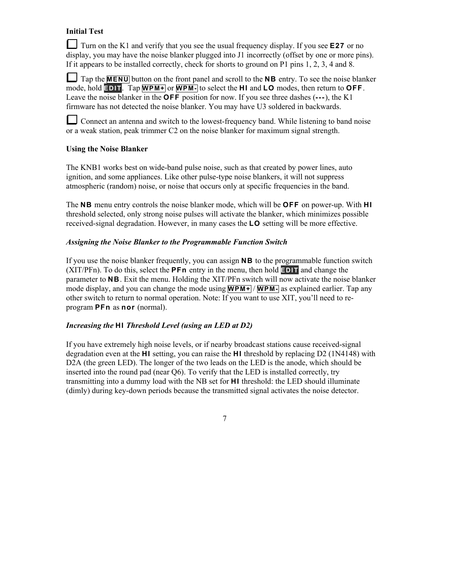### **Initial Test**

Turn on the K1 and verify that you see the usual frequency display. If you see **E 2 7** or no display, you may have the noise blanker plugged into J1 incorrectly (offset by one or more pins). If it appears to be installed correctly, check for shorts to ground on P1 pins 1, 2, 3, 4 and 8.

Tap the **M E N U** button on the front panel and scroll to the **N B** entry. To see the noise blanker mode, hold **EDIT**. Tap **WPM+** or **WPM-** to select the **HI** and **LO** modes, then return to **OFF**. Leave the noise blanker in the **OFF** position for now. If you see three dashes (---), the K1 firmware has not detected the noise blanker. You may have U3 soldered in backwards.

Connect an antenna and switch to the lowest-frequency band. While listening to band noise or a weak station, peak trimmer C2 on the noise blanker for maximum signal strength.

#### **Using the Noise Blanker**

The KNB1 works best on wide-band pulse noise, such as that created by power lines, auto ignition, and some appliances. Like other pulse-type noise blankers, it will not suppress atmospheric (random) noise, or noise that occurs only at specific frequencies in the band.

The **NB** menu entry controls the noise blanker mode, which will be **OFF** on power-up. With **HI** threshold selected, only strong noise pulses will activate the blanker, which minimizes possible received-signal degradation. However, in many cases the **L O** setting will be more effective.

#### *Assigning the Noise Blanker to the Programmable Function Switch*

If you use the noise blanker frequently, you can assign **N B** to the programmable function switch (XIT/PFn). To do this, select the **P F n** entry in the menu, then hold **E D I T** and change the parameter to **N B** . Exit the menu. Holding the XIT/PFn switch will now activate the noise blanker mode display, and you can change the mode using **WPM**+/**WPM**- as explained earlier. Tap any other switch to return to normal operation. Note: If you want to use XIT, you'll need to reprogram **PFn** as **nor** (normal).

#### *Increasing the HI Threshold Level (using an LED at D2)*

If you have extremely high noise levels, or if nearby broadcast stations cause received-signal degradation even at the **H I** setting, you can raise the **H I** threshold by replacing D2 (1N4148) with D2A (the green LED). The longer of the two leads on the LED is the anode, which should be inserted into the round pad (near Q6). To verify that the LED is installed correctly, try transmitting into a dummy load with the NB set for **H I** threshold: the LED should illuminate (dimly) during key-down periods because the transmitted signal activates the noise detector.